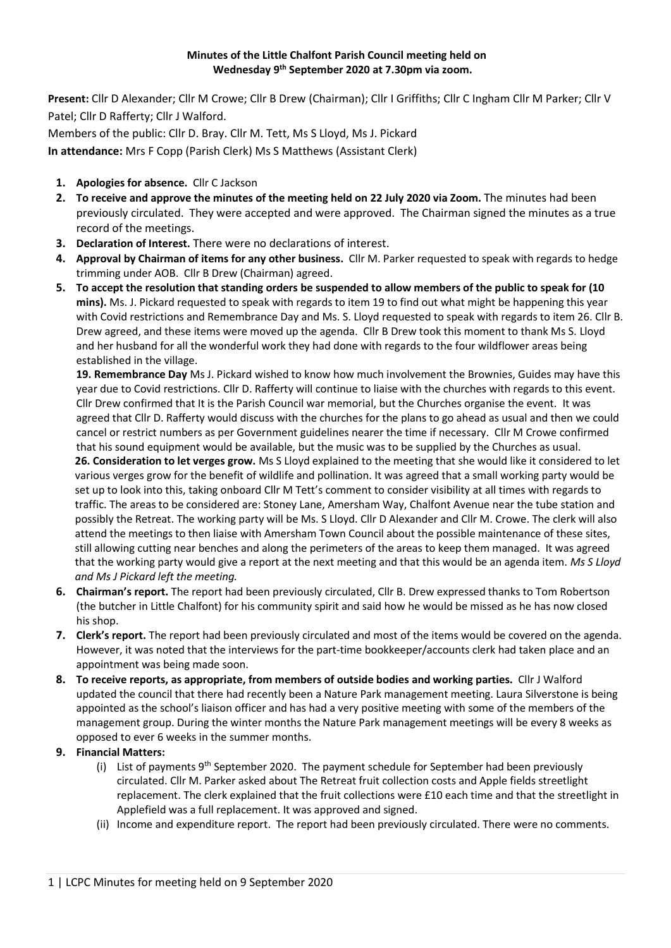## **Minutes of the Little Chalfont Parish Council meeting held on Wednesday 9 th September 2020 at 7.30pm via zoom.**

**Present:** Cllr D Alexander; Cllr M Crowe; Cllr B Drew (Chairman); Cllr I Griffiths; Cllr C Ingham Cllr M Parker; Cllr V Patel; Cllr D Rafferty; Cllr J Walford.

Members of the public: Cllr D. Bray. Cllr M. Tett, Ms S Lloyd, Ms J. Pickard

**In attendance:** Mrs F Copp (Parish Clerk) Ms S Matthews (Assistant Clerk)

- **1. Apologies for absence.** Cllr C Jackson
- **2. To receive and approve the minutes of the meeting held on 22 July 2020 via Zoom.** The minutes had been previously circulated. They were accepted and were approved. The Chairman signed the minutes as a true record of the meetings.
- **3. Declaration of Interest.** There were no declarations of interest.
- **4. Approval by Chairman of items for any other business.** Cllr M. Parker requested to speak with regards to hedge trimming under AOB. Cllr B Drew (Chairman) agreed.
- **5. To accept the resolution that standing orders be suspended to allow members of the public to speak for (10 mins).** Ms. J. Pickard requested to speak with regards to item 19 to find out what might be happening this year with Covid restrictions and Remembrance Day and Ms. S. Lloyd requested to speak with regards to item 26. Cllr B. Drew agreed, and these items were moved up the agenda. Cllr B Drew took this moment to thank Ms S. Lloyd and her husband for all the wonderful work they had done with regards to the four wildflower areas being established in the village.

**19. Remembrance Day** Ms J. Pickard wished to know how much involvement the Brownies, Guides may have this year due to Covid restrictions. Cllr D. Rafferty will continue to liaise with the churches with regards to this event. Cllr Drew confirmed that It is the Parish Council war memorial, but the Churches organise the event. It was agreed that Cllr D. Rafferty would discuss with the churches for the plans to go ahead as usual and then we could cancel or restrict numbers as per Government guidelines nearer the time if necessary. Cllr M Crowe confirmed that his sound equipment would be available, but the music was to be supplied by the Churches as usual.

**26. Consideration to let verges grow.** Ms S Lloyd explained to the meeting that she would like it considered to let various verges grow for the benefit of wildlife and pollination. It was agreed that a small working party would be set up to look into this, taking onboard Cllr M Tett's comment to consider visibility at all times with regards to traffic. The areas to be considered are: Stoney Lane, Amersham Way, Chalfont Avenue near the tube station and possibly the Retreat. The working party will be Ms. S Lloyd. Cllr D Alexander and Cllr M. Crowe. The clerk will also attend the meetings to then liaise with Amersham Town Council about the possible maintenance of these sites, still allowing cutting near benches and along the perimeters of the areas to keep them managed. It was agreed that the working party would give a report at the next meeting and that this would be an agenda item. *Ms S Lloyd and Ms J Pickard left the meeting.*

- **6. Chairman's report.** The report had been previously circulated, Cllr B. Drew expressed thanks to Tom Robertson (the butcher in Little Chalfont) for his community spirit and said how he would be missed as he has now closed his shop.
- **7. Clerk's report.** The report had been previously circulated and most of the items would be covered on the agenda. However, it was noted that the interviews for the part-time bookkeeper/accounts clerk had taken place and an appointment was being made soon.
- **8. To receive reports, as appropriate, from members of outside bodies and working parties.** Cllr J Walford updated the council that there had recently been a Nature Park management meeting. Laura Silverstone is being appointed as the school's liaison officer and has had a very positive meeting with some of the members of the management group. During the winter months the Nature Park management meetings will be every 8 weeks as opposed to ever 6 weeks in the summer months.
- **9. Financial Matters:**
	- (i) List of payments  $9<sup>th</sup>$  September 2020. The payment schedule for September had been previously circulated. Cllr M. Parker asked about The Retreat fruit collection costs and Apple fields streetlight replacement. The clerk explained that the fruit collections were £10 each time and that the streetlight in Applefield was a full replacement. It was approved and signed.
	- (ii) Income and expenditure report. The report had been previously circulated. There were no comments.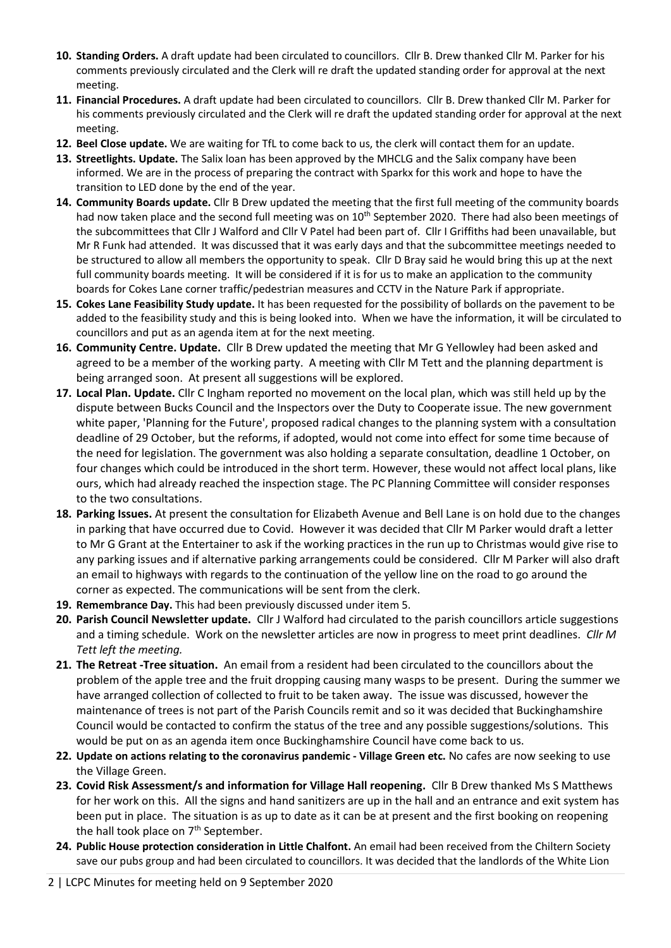- **10. Standing Orders.** A draft update had been circulated to councillors. Cllr B. Drew thanked Cllr M. Parker for his comments previously circulated and the Clerk will re draft the updated standing order for approval at the next meeting.
- **11. Financial Procedures.** A draft update had been circulated to councillors. Cllr B. Drew thanked Cllr M. Parker for his comments previously circulated and the Clerk will re draft the updated standing order for approval at the next meeting.
- **12. Beel Close update.** We are waiting for TfL to come back to us, the clerk will contact them for an update.
- **13. Streetlights. Update.** The Salix loan has been approved by the MHCLG and the Salix company have been informed. We are in the process of preparing the contract with Sparkx for this work and hope to have the transition to LED done by the end of the year.
- **14. Community Boards update.** Cllr B Drew updated the meeting that the first full meeting of the community boards had now taken place and the second full meeting was on 10<sup>th</sup> September 2020. There had also been meetings of the subcommittees that Cllr J Walford and Cllr V Patel had been part of. Cllr I Griffiths had been unavailable, but Mr R Funk had attended. It was discussed that it was early days and that the subcommittee meetings needed to be structured to allow all members the opportunity to speak. Cllr D Bray said he would bring this up at the next full community boards meeting. It will be considered if it is for us to make an application to the community boards for Cokes Lane corner traffic/pedestrian measures and CCTV in the Nature Park if appropriate.
- **15. Cokes Lane Feasibility Study update.** It has been requested for the possibility of bollards on the pavement to be added to the feasibility study and this is being looked into. When we have the information, it will be circulated to councillors and put as an agenda item at for the next meeting.
- **16. Community Centre. Update.** Cllr B Drew updated the meeting that Mr G Yellowley had been asked and agreed to be a member of the working party. A meeting with Cllr M Tett and the planning department is being arranged soon. At present all suggestions will be explored.
- **17. Local Plan. Update.** Cllr C Ingham reported no movement on the local plan, which was still held up by the dispute between Bucks Council and the Inspectors over the Duty to Cooperate issue. The new government white paper, 'Planning for the Future', proposed radical changes to the planning system with a consultation deadline of 29 October, but the reforms, if adopted, would not come into effect for some time because of the need for legislation. The government was also holding a separate consultation, deadline 1 October, on four changes which could be introduced in the short term. However, these would not affect local plans, like ours, which had already reached the inspection stage. The PC Planning Committee will consider responses to the two consultations.
- **18. Parking Issues.** At present the consultation for Elizabeth Avenue and Bell Lane is on hold due to the changes in parking that have occurred due to Covid. However it was decided that Cllr M Parker would draft a letter to Mr G Grant at the Entertainer to ask if the working practices in the run up to Christmas would give rise to any parking issues and if alternative parking arrangements could be considered. Cllr M Parker will also draft an email to highways with regards to the continuation of the yellow line on the road to go around the corner as expected. The communications will be sent from the clerk.
- **19. Remembrance Day.** This had been previously discussed under item 5.
- **20. Parish Council Newsletter update.** Cllr J Walford had circulated to the parish councillors article suggestions and a timing schedule. Work on the newsletter articles are now in progress to meet print deadlines. *Cllr M Tett left the meeting.*
- **21. The Retreat -Tree situation.** An email from a resident had been circulated to the councillors about the problem of the apple tree and the fruit dropping causing many wasps to be present. During the summer we have arranged collection of collected to fruit to be taken away. The issue was discussed, however the maintenance of trees is not part of the Parish Councils remit and so it was decided that Buckinghamshire Council would be contacted to confirm the status of the tree and any possible suggestions/solutions. This would be put on as an agenda item once Buckinghamshire Council have come back to us.
- **22. Update on actions relating to the coronavirus pandemic - Village Green etc.** No cafes are now seeking to use the Village Green.
- **23. Covid Risk Assessment/s and information for Village Hall reopening.** Cllr B Drew thanked Ms S Matthews for her work on this. All the signs and hand sanitizers are up in the hall and an entrance and exit system has been put in place. The situation is as up to date as it can be at present and the first booking on reopening the hall took place on  $7<sup>th</sup>$  September.
- **24. Public House protection consideration in Little Chalfont.** An email had been received from the Chiltern Society save our pubs group and had been circulated to councillors. It was decided that the landlords of the White Lion